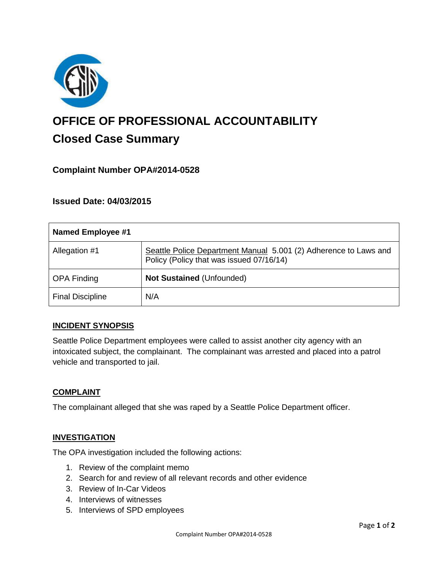

# **OFFICE OF PROFESSIONAL ACCOUNTABILITY Closed Case Summary**

# **Complaint Number OPA#2014-0528**

# **Issued Date: 04/03/2015**

| <b>Named Employee #1</b> |                                                                                                              |
|--------------------------|--------------------------------------------------------------------------------------------------------------|
| Allegation #1            | Seattle Police Department Manual 5.001 (2) Adherence to Laws and<br>Policy (Policy that was issued 07/16/14) |
| <b>OPA Finding</b>       | Not Sustained (Unfounded)                                                                                    |
| <b>Final Discipline</b>  | N/A                                                                                                          |

#### **INCIDENT SYNOPSIS**

Seattle Police Department employees were called to assist another city agency with an intoxicated subject, the complainant. The complainant was arrested and placed into a patrol vehicle and transported to jail.

#### **COMPLAINT**

The complainant alleged that she was raped by a Seattle Police Department officer.

#### **INVESTIGATION**

The OPA investigation included the following actions:

- 1. Review of the complaint memo
- 2. Search for and review of all relevant records and other evidence
- 3. Review of In-Car Videos
- 4. Interviews of witnesses
- 5. Interviews of SPD employees